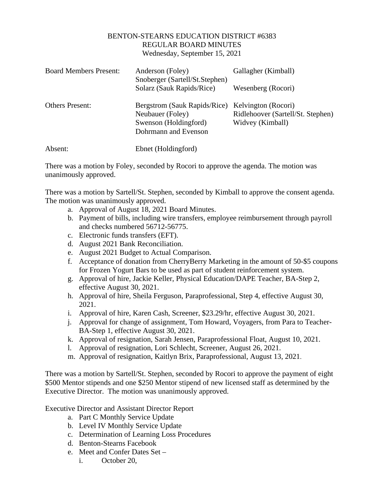## BENTON-STEARNS EDUCATION DISTRICT #6383 REGULAR BOARD MINUTES Wednesday, September 15, 2021

| <b>Board Members Present:</b> | Anderson (Foley)<br>Snoberger (Sartell/St.Stephen)<br>Solarz (Sauk Rapids/Rice)                   | Gallagher (Kimball)<br>Wesenberg (Rocori)                                    |
|-------------------------------|---------------------------------------------------------------------------------------------------|------------------------------------------------------------------------------|
| <b>Others Present:</b>        | Bergstrom (Sauk Rapids/Rice)<br>Neubauer (Foley)<br>Swenson (Holdingford)<br>Dohrmann and Evenson | Kelvington (Rocori)<br>Ridlehoover (Sartell/St. Stephen)<br>Widvey (Kimball) |
| Absent:                       | Ebnet (Holdingford)                                                                               |                                                                              |

There was a motion by Foley, seconded by Rocori to approve the agenda. The motion was unanimously approved.

There was a motion by Sartell/St. Stephen, seconded by Kimball to approve the consent agenda. The motion was unanimously approved.

- a. Approval of August 18, 2021 Board Minutes.
- b. Payment of bills, including wire transfers, employee reimbursement through payroll and checks numbered 56712-56775.
- c. Electronic funds transfers (EFT).
- d. August 2021 Bank Reconciliation.
- e. August 2021 Budget to Actual Comparison.
- f. Acceptance of donation from CherryBerry Marketing in the amount of 50-\$5 coupons for Frozen Yogurt Bars to be used as part of student reinforcement system.
- g. Approval of hire, Jackie Keller, Physical Education/DAPE Teacher, BA-Step 2, effective August 30, 2021.
- h. Approval of hire, Sheila Ferguson, Paraprofessional, Step 4, effective August 30, 2021.
- i. Approval of hire, Karen Cash, Screener, \$23.29/hr, effective August 30, 2021.
- j. Approval for change of assignment, Tom Howard, Voyagers, from Para to Teacher-BA-Step 1, effective August 30, 2021.
- k. Approval of resignation, Sarah Jensen, Paraprofessional Float, August 10, 2021.
- l. Approval of resignation, Lori Schlecht, Screener, August 26, 2021.
- m. Approval of resignation, Kaitlyn Brix, Paraprofessional, August 13, 2021.

There was a motion by Sartell/St. Stephen, seconded by Rocori to approve the payment of eight \$500 Mentor stipends and one \$250 Mentor stipend of new licensed staff as determined by the Executive Director. The motion was unanimously approved.

Executive Director and Assistant Director Report

- a. Part C Monthly Service Update
- b. Level IV Monthly Service Update
- c. Determination of Learning Loss Procedures
- d. Benton-Stearns Facebook
- e. Meet and Confer Dates Set
	- i. October 20,